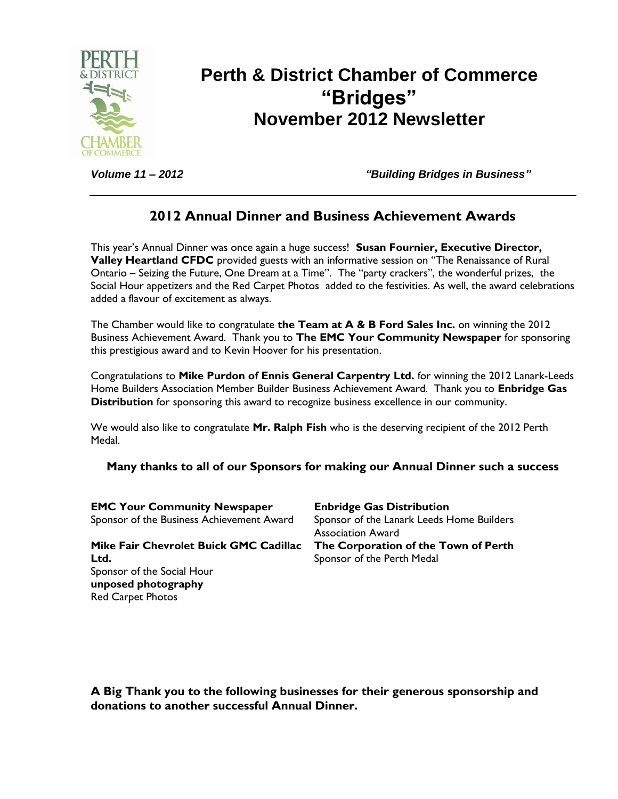

# **Perth & District Chamber of Commerce "Bridges" November 2012 Newsletter**

*Volume 11 – 2012 "Building Bridges in Business"*

### **2012 Annual Dinner and Business Achievement Awards**

This year's Annual Dinner was once again a huge success! **Susan Fournier, Executive Director, Valley Heartland CFDC** provided guests with an informative session on "The Renaissance of Rural Ontario – Seizing the Future, One Dream at a Time". The "party crackers", the wonderful prizes, the Social Hour appetizers and the Red Carpet Photos added to the festivities. As well, the award celebrations added a flavour of excitement as always.

The Chamber would like to congratulate **the Team at A & B Ford Sales Inc.** on winning the 2012 Business Achievement Award. Thank you to **The EMC Your Community Newspaper** for sponsoring this prestigious award and to Kevin Hoover for his presentation.

Congratulations to **Mike Purdon of Ennis General Carpentry Ltd.** for winning the 2012 Lanark-Leeds Home Builders Association Member Builder Business Achievement Award. Thank you to **Enbridge Gas Distribution** for sponsoring this award to recognize business excellence in our community.

We would also like to congratulate **Mr. Ralph Fish** who is the deserving recipient of the 2012 Perth Medal.

**Many thanks to all of our Sponsors for making our Annual Dinner such a success**

| <b>EMC Your Community Newspaper</b>       | <b>Enbridge Gas Distribution</b>          |
|-------------------------------------------|-------------------------------------------|
| Sponsor of the Business Achievement Award | Sponsor of the Lanark Leeds Home Builders |
|                                           | <b>Association Award</b>                  |
| Mike Fair Chevrolet Buick GMC Cadillac    | The Corporation of the Town of Perth      |
| Ltd.                                      | Sponsor of the Perth Medal                |
| Sponsor of the Social Hour                |                                           |
| unposed photography                       |                                           |
| <b>Red Carpet Photos</b>                  |                                           |

**A Big Thank you to the following businesses for their generous sponsorship and donations to another successful Annual Dinner.**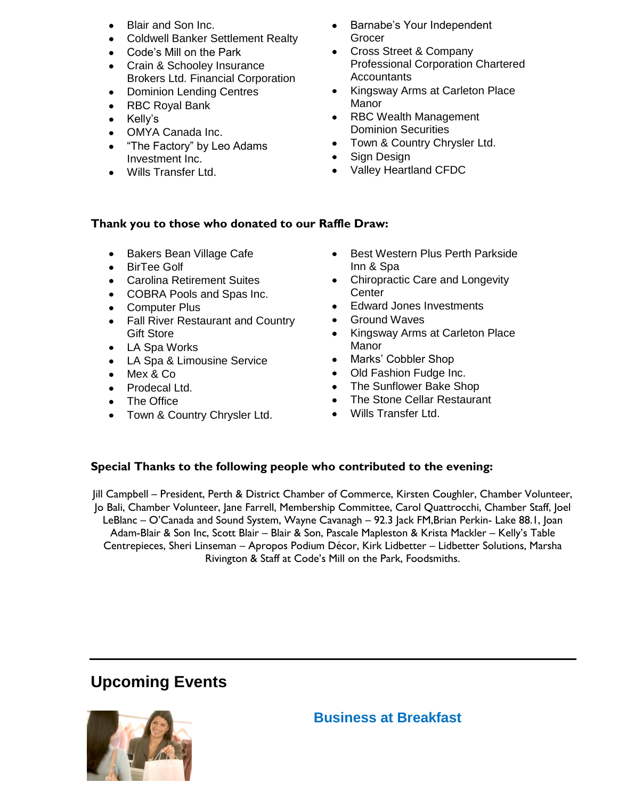- Blair and Son Inc.
- Coldwell Banker Settlement Realty
- Code's Mill on the Park
- Crain & Schooley Insurance Brokers Ltd. Financial Corporation
- Dominion Lending Centres
- RBC Royal Bank
- Kelly's
- OMYA Canada Inc.
- "The Factory" by Leo Adams Investment Inc.
- Wills Transfer Ltd.
- Barnabe's Your Independent Grocer
- Cross Street & Company Professional Corporation Chartered **Accountants**
- Kingsway Arms at Carleton Place Manor
- RBC Wealth Management Dominion Securities
- Town & Country Chrysler Ltd.
- Sign Design
- Valley Heartland CFDC

#### **Thank you to those who donated to our Raffle Draw:**

- Bakers Bean Village Cafe
- BirTee Golf
- Carolina Retirement Suites
- COBRA Pools and Spas Inc.
- Computer Plus
- Fall River Restaurant and Country Gift Store
- LA Spa Works
- LA Spa & Limousine Service
- Mex & Co
- Prodecal Ltd.
- The Office
- Town & Country Chrysler Ltd.
- $\bullet$ Best Western Plus Perth Parkside Inn & Spa
- Chiropractic Care and Longevity Center
- Edward Jones Investments
- Ground Waves
- Kingsway Arms at Carleton Place Manor
- Marks' Cobbler Shop
- Old Fashion Fudge Inc.
- The Sunflower Bake Shop
- The Stone Cellar Restaurant
- Wills Transfer Ltd.

#### **Special Thanks to the following people who contributed to the evening:**

Jill Campbell – President, Perth & District Chamber of Commerce, Kirsten Coughler, Chamber Volunteer, Jo Bali, Chamber Volunteer, Jane Farrell, Membership Committee, Carol Quattrocchi, Chamber Staff, Joel LeBlanc – O'Canada and Sound System, Wayne Cavanagh – 92.3 Jack FM,Brian Perkin- Lake 88.1, Joan Adam-Blair & Son Inc, Scott Blair – Blair & Son, Pascale Mapleston & Krista Mackler – Kelly's Table Centrepieces, Sheri Linseman – Apropos Podium Décor, Kirk Lidbetter – Lidbetter Solutions, Marsha Rivington & Staff at Code's Mill on the Park, Foodsmiths.

## **Upcoming Events**

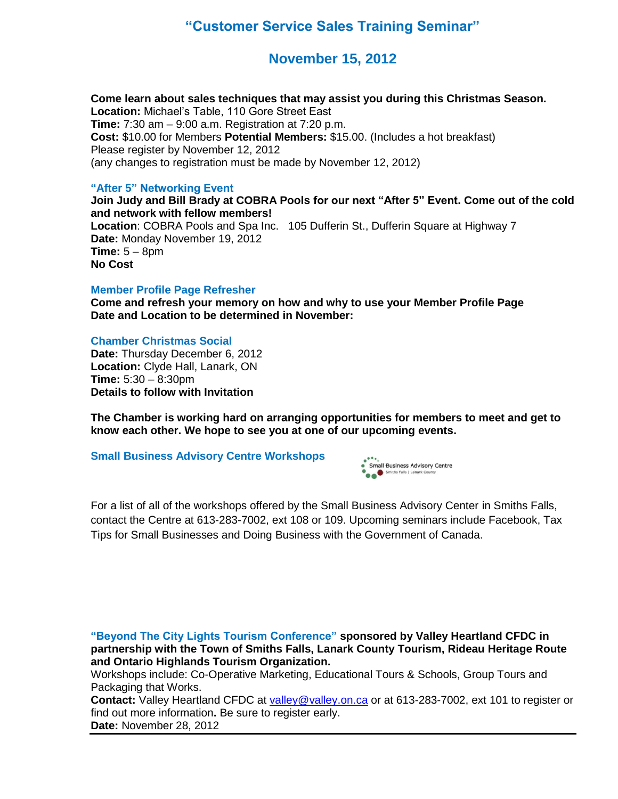### **"Customer Service Sales Training Seminar"**

### **November 15, 2012**

**Come learn about sales techniques that may assist you during this Christmas Season. Location:** Michael's Table, 110 Gore Street East **Time:** 7:30 am – 9:00 a.m. Registration at 7:20 p.m. **Cost:** \$10.00 for Members **Potential Members:** \$15.00. (Includes a hot breakfast) Please register by November 12, 2012 (any changes to registration must be made by November 12, 2012)

#### **"After 5" Networking Event**

**Join Judy and Bill Brady at COBRA Pools for our next "After 5" Event. Come out of the cold and network with fellow members!**

**Location**: COBRA Pools and Spa Inc. 105 Dufferin St., Dufferin Square at Highway 7 **Date:** Monday November 19, 2012 **Time:** 5 – 8pm **No Cost**

#### **Member Profile Page Refresher**

**Come and refresh your memory on how and why to use your Member Profile Page Date and Location to be determined in November:**

#### **Chamber Christmas Social**

**Date:** Thursday December 6, 2012 **Location:** Clyde Hall, Lanark, ON **Time:** 5:30 – 8:30pm **Details to follow with Invitation**

**The Chamber is working hard on arranging opportunities for members to meet and get to know each other. We hope to see you at one of our upcoming events.**

#### **Small Business Advisory Centre Workshops**



For a list of all of the workshops offered by the Small Business Advisory Center in Smiths Falls, contact the Centre at 613-283-7002, ext 108 or 109. Upcoming seminars include Facebook, Tax Tips for Small Businesses and Doing Business with the Government of Canada.

**"Beyond The City Lights Tourism Conference" sponsored by Valley Heartland CFDC in partnership with the Town of Smiths Falls, Lanark County Tourism, Rideau Heritage Route and Ontario Highlands Tourism Organization.** 

Workshops include: Co-Operative Marketing, Educational Tours & Schools, Group Tours and Packaging that Works.

**Contact:** Valley Heartland CFDC at [valley@valley.on.ca](mailto:valley@valley.on.ca) or at 613-283-7002, ext 101 to register or find out more information**.** Be sure to register early.

**Date:** November 28, 2012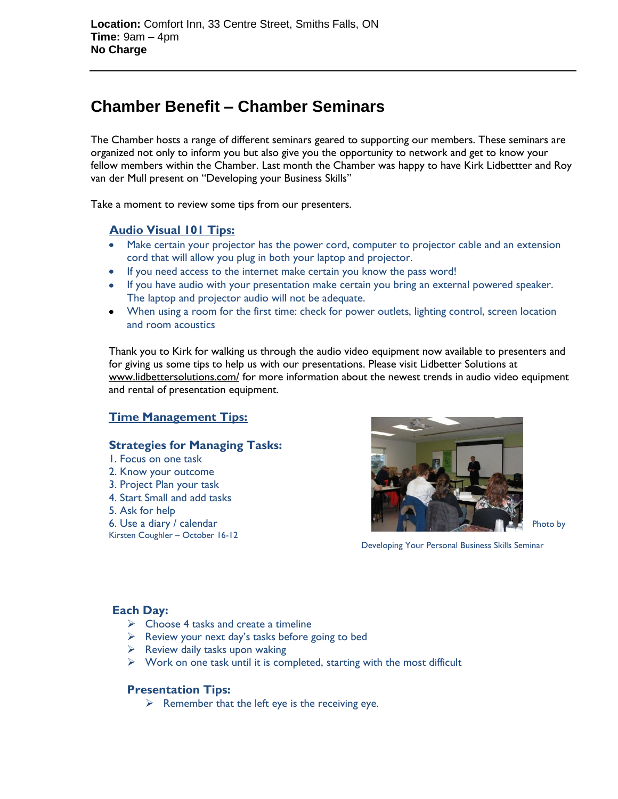## **Chamber Benefit – Chamber Seminars**

The Chamber hosts a range of different seminars geared to supporting our members. These seminars are organized not only to inform you but also give you the opportunity to network and get to know your fellow members within the Chamber. Last month the Chamber was happy to have Kirk Lidbettter and Roy van der Mull present on "Developing your Business Skills"

Take a moment to review some tips from our presenters.

#### **Audio Visual 101 Tips:**

- Make certain your projector has the power cord, computer to projector cable and an extension cord that will allow you plug in both your laptop and projector.
- If you need access to the internet make certain you know the pass word!
- If you have audio with your presentation make certain you bring an external powered speaker. The laptop and projector audio will not be adequate.
- When using a room for the first time: check for power outlets, lighting control, screen location and room acoustics

Thank you to Kirk for walking us through the audio video equipment now available to presenters and for giving us some tips to help us with our presentations. Please visit Lidbetter Solutions at [www.lidbettersolutions.com/](http://www.lidbettersolutions.com/) for more information about the newest trends in audio video equipment and rental of presentation equipment.

#### **Time Management Tips:**

#### **Strategies for Managing Tasks:**

- 1. Focus on one task 2. Know your outcome
- 3. Project Plan your task
- 4. Start Small and add tasks
- 5. Ask for help
- 
- Kirsten Coughler October 16-12



Developing Your Personal Business Skills Seminar

#### **Each Day:**

- $\triangleright$  Choose 4 tasks and create a timeline
- $\triangleright$  Review your next day's tasks before going to bed
- $\triangleright$  Review daily tasks upon waking
- $\triangleright$  Work on one task until it is completed, starting with the most difficult

#### **Presentation Tips:**

 $\triangleright$  Remember that the left eye is the receiving eye.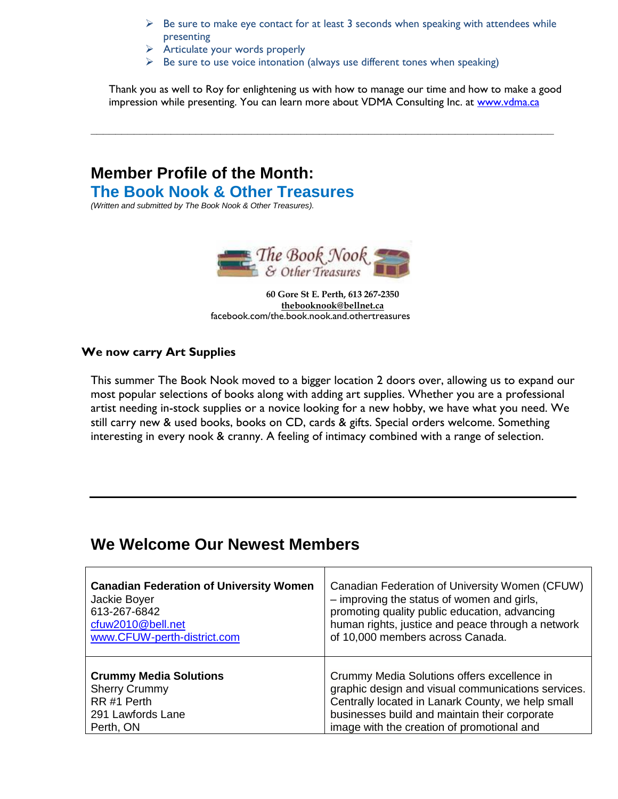- $\triangleright$  Be sure to make eye contact for at least 3 seconds when speaking with attendees while presenting
- $\triangleright$  Articulate your words properly
- $\triangleright$  Be sure to use voice intonation (always use different tones when speaking)

**\_\_\_\_\_\_\_\_\_\_\_\_\_\_\_\_\_\_\_\_\_\_\_\_\_\_\_\_\_\_\_\_\_\_\_\_\_\_\_\_\_\_\_\_\_\_\_\_\_\_\_\_\_\_\_\_\_\_\_\_\_\_\_\_\_\_\_\_\_\_\_\_\_\_\_**

Thank you as well to Roy for enlightening us with how to manage our time and how to make a good impression while presenting. You can learn more about VDMA Consulting Inc. at [www.vdma.ca](http://www.vdma.ca/)

### **Member Profile of the Month: The Book Nook & Other Treasures**

*(Written and submitted by The Book Nook & Other Treasures).*



**60 Gore St E. Perth, 613 267-2350 [thebooknook@bellnet.ca](mailto:thebooknook@bellnet.ca)** facebook.com/the.book.nook.and.othertreasures

#### **We now carry Art Supplies**

This summer The Book Nook moved to a bigger location 2 doors over, allowing us to expand our most popular selections of books along with adding art supplies. Whether you are a professional artist needing in-stock supplies or a novice looking for a new hobby, we have what you need. We still carry new & used books, books on CD, cards & gifts. Special orders welcome. Something interesting in every nook & cranny. A feeling of intimacy combined with a range of selection.

### **We Welcome Our Newest Members**

| <b>Canadian Federation of University Women</b> | Canadian Federation of University Women (CFUW)     |
|------------------------------------------------|----------------------------------------------------|
| Jackie Boyer                                   | - improving the status of women and girls,         |
| 613-267-6842                                   | promoting quality public education, advancing      |
| cfuw2010@bell.net                              | human rights, justice and peace through a network  |
| www.CFUW-perth-district.com                    | of 10,000 members across Canada.                   |
| <b>Crummy Media Solutions</b>                  | Crummy Media Solutions offers excellence in        |
| <b>Sherry Crummy</b>                           | graphic design and visual communications services. |
| RR#1 Perth                                     | Centrally located in Lanark County, we help small  |
| 291 Lawfords Lane                              | businesses build and maintain their corporate      |
| Perth, ON                                      | image with the creation of promotional and         |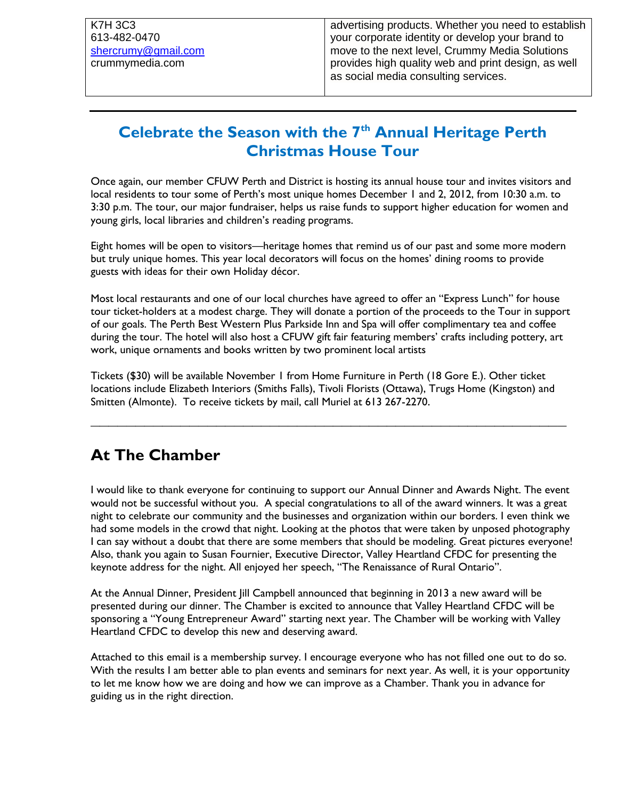## **Celebrate the Season with the 7th Annual Heritage Perth Christmas House Tour**

Once again, our member CFUW Perth and District is hosting its annual house tour and invites visitors and local residents to tour some of Perth's most unique homes December 1 and 2, 2012, from 10:30 a.m. to 3:30 p.m. The tour, our major fundraiser, helps us raise funds to support higher education for women and young girls, local libraries and children's reading programs.

Eight homes will be open to visitors—heritage homes that remind us of our past and some more modern but truly unique homes. This year local decorators will focus on the homes' dining rooms to provide guests with ideas for their own Holiday décor.

Most local restaurants and one of our local churches have agreed to offer an "Express Lunch" for house tour ticket-holders at a modest charge. They will donate a portion of the proceeds to the Tour in support of our goals. The Perth Best Western Plus Parkside Inn and Spa will offer complimentary tea and coffee during the tour. The hotel will also host a CFUW gift fair featuring members' crafts including pottery, art work, unique ornaments and books written by two prominent local artists

Tickets (\$30) will be available November 1 from Home Furniture in Perth (18 Gore E.). Other ticket locations include Elizabeth Interiors (Smiths Falls), Tivoli Florists (Ottawa), Trugs Home (Kingston) and Smitten (Almonte). To receive tickets by mail, call Muriel at 613 267-2270.

**\_\_\_\_\_\_\_\_\_\_\_\_\_\_\_\_\_\_\_\_\_\_\_\_\_\_\_\_\_\_\_\_\_\_\_\_\_\_\_\_\_\_\_\_\_\_\_\_\_\_\_\_\_**

## **At The Chamber**

I would like to thank everyone for continuing to support our Annual Dinner and Awards Night. The event would not be successful without you. A special congratulations to all of the award winners. It was a great night to celebrate our community and the businesses and organization within our borders. I even think we had some models in the crowd that night. Looking at the photos that were taken by unposed photography I can say without a doubt that there are some members that should be modeling. Great pictures everyone! Also, thank you again to Susan Fournier, Executive Director, Valley Heartland CFDC for presenting the keynote address for the night. All enjoyed her speech, "The Renaissance of Rural Ontario".

At the Annual Dinner, President Jill Campbell announced that beginning in 2013 a new award will be presented during our dinner. The Chamber is excited to announce that Valley Heartland CFDC will be sponsoring a "Young Entrepreneur Award" starting next year. The Chamber will be working with Valley Heartland CFDC to develop this new and deserving award.

Attached to this email is a membership survey. I encourage everyone who has not filled one out to do so. With the results I am better able to plan events and seminars for next year. As well, it is your opportunity to let me know how we are doing and how we can improve as a Chamber. Thank you in advance for guiding us in the right direction.